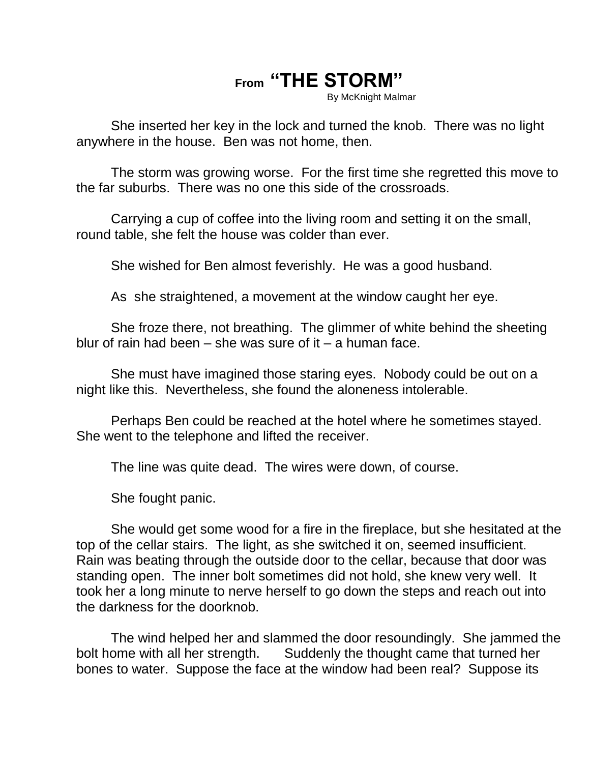## **From "THE STORM"**

By McKnight Malmar

She inserted her key in the lock and turned the knob. There was no light anywhere in the house. Ben was not home, then.

The storm was growing worse. For the first time she regretted this move to the far suburbs. There was no one this side of the crossroads.

Carrying a cup of coffee into the living room and setting it on the small, round table, she felt the house was colder than ever.

She wished for Ben almost feverishly. He was a good husband.

As she straightened, a movement at the window caught her eye.

She froze there, not breathing. The glimmer of white behind the sheeting blur of rain had been – she was sure of it – a human face.

She must have imagined those staring eyes. Nobody could be out on a night like this. Nevertheless, she found the aloneness intolerable.

Perhaps Ben could be reached at the hotel where he sometimes stayed. She went to the telephone and lifted the receiver.

The line was quite dead. The wires were down, of course.

She fought panic.

She would get some wood for a fire in the fireplace, but she hesitated at the top of the cellar stairs. The light, as she switched it on, seemed insufficient. Rain was beating through the outside door to the cellar, because that door was standing open. The inner bolt sometimes did not hold, she knew very well. It took her a long minute to nerve herself to go down the steps and reach out into the darkness for the doorknob.

The wind helped her and slammed the door resoundingly. She jammed the bolt home with all her strength. Suddenly the thought came that turned her bones to water. Suppose the face at the window had been real? Suppose its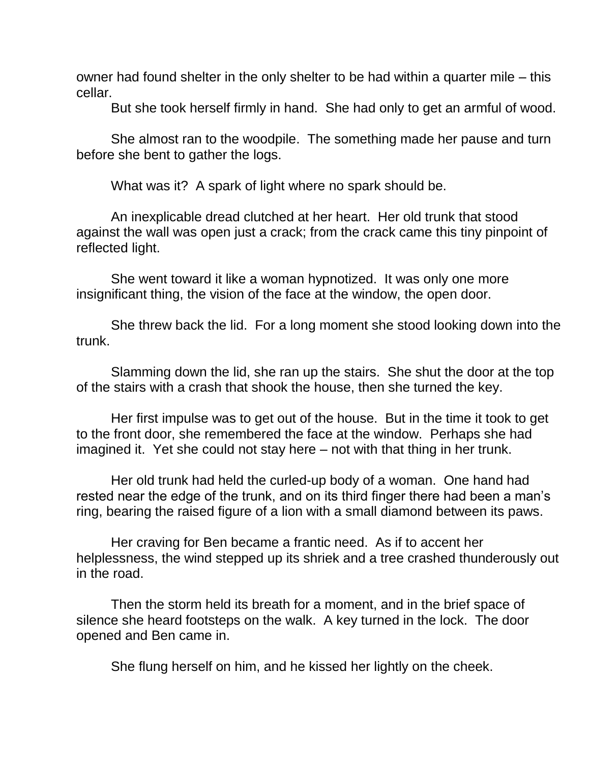owner had found shelter in the only shelter to be had within a quarter mile – this cellar.

But she took herself firmly in hand. She had only to get an armful of wood.

She almost ran to the woodpile. The something made her pause and turn before she bent to gather the logs.

What was it? A spark of light where no spark should be.

An inexplicable dread clutched at her heart. Her old trunk that stood against the wall was open just a crack; from the crack came this tiny pinpoint of reflected light.

She went toward it like a woman hypnotized. It was only one more insignificant thing, the vision of the face at the window, the open door.

She threw back the lid. For a long moment she stood looking down into the trunk.

Slamming down the lid, she ran up the stairs. She shut the door at the top of the stairs with a crash that shook the house, then she turned the key.

Her first impulse was to get out of the house. But in the time it took to get to the front door, she remembered the face at the window. Perhaps she had imagined it. Yet she could not stay here – not with that thing in her trunk.

Her old trunk had held the curled-up body of a woman. One hand had rested near the edge of the trunk, and on its third finger there had been a man's ring, bearing the raised figure of a lion with a small diamond between its paws.

Her craving for Ben became a frantic need. As if to accent her helplessness, the wind stepped up its shriek and a tree crashed thunderously out in the road.

Then the storm held its breath for a moment, and in the brief space of silence she heard footsteps on the walk. A key turned in the lock. The door opened and Ben came in.

She flung herself on him, and he kissed her lightly on the cheek.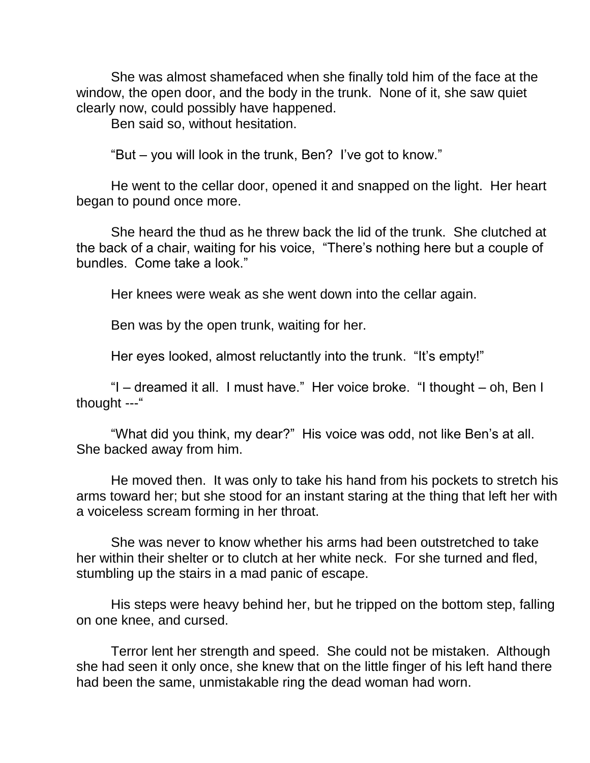She was almost shamefaced when she finally told him of the face at the window, the open door, and the body in the trunk. None of it, she saw quiet clearly now, could possibly have happened.

Ben said so, without hesitation.

"But – you will look in the trunk, Ben? I've got to know."

He went to the cellar door, opened it and snapped on the light. Her heart began to pound once more.

She heard the thud as he threw back the lid of the trunk. She clutched at the back of a chair, waiting for his voice, "There's nothing here but a couple of bundles. Come take a look."

Her knees were weak as she went down into the cellar again.

Ben was by the open trunk, waiting for her.

Her eyes looked, almost reluctantly into the trunk. "It's empty!"

"I – dreamed it all. I must have." Her voice broke. "I thought – oh, Ben I thought ---"

"What did you think, my dear?" His voice was odd, not like Ben's at all. She backed away from him.

He moved then. It was only to take his hand from his pockets to stretch his arms toward her; but she stood for an instant staring at the thing that left her with a voiceless scream forming in her throat.

She was never to know whether his arms had been outstretched to take her within their shelter or to clutch at her white neck. For she turned and fled, stumbling up the stairs in a mad panic of escape.

His steps were heavy behind her, but he tripped on the bottom step, falling on one knee, and cursed.

Terror lent her strength and speed. She could not be mistaken. Although she had seen it only once, she knew that on the little finger of his left hand there had been the same, unmistakable ring the dead woman had worn.